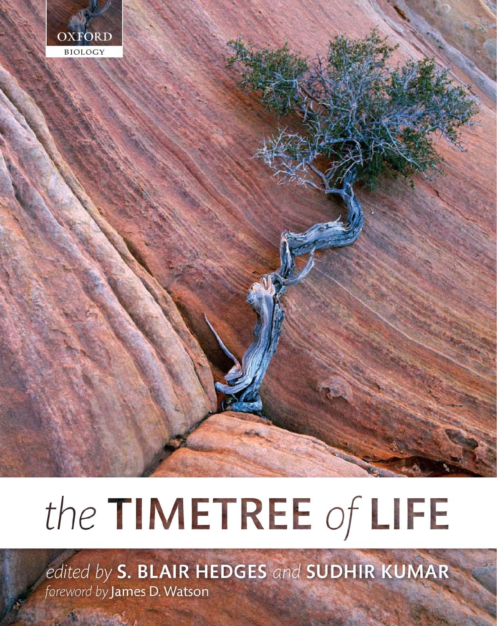

# the TIMETREE of LIFE

edited by S. BLAIR HEDGES and SUDHIR KUMAR foreword by James D. Watson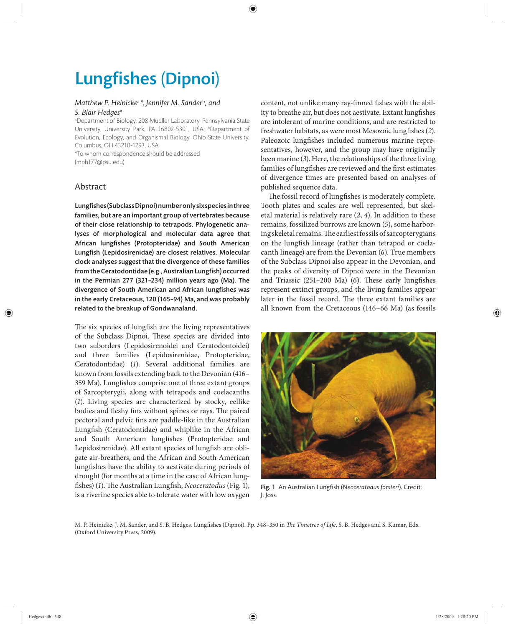## **Lungfishes (Dipnoi)**

#### *Matthew P. Heinicke*a,*\*, Jennifer M. Sander*<sup>b</sup>*, and S. Blair Hedges*<sup>a</sup>

a Department of Biology, 208 Mueller Laboratory, Pennsylvania State University, University Park, PA 16802-5301, USA; <sup>b</sup>Department of Evolution, Ecology, and Organismal Biology, Ohio State University, Columbus, OH 43210-1293, USA

\*To whom correspondence should be addressed (mph177@psu.edu)

### Abstract

Lungfishes (Subclass Dipnoi) number only six species in three families, but are an important group of vertebrates because of their close relationship to tetrapods. Phylogenetic analyses of morphological and molecular data agree that African lungfishes (Protopteridae) and South American Lungfish (Lepidosirenidae) are closest relatives. Molecular clock analyses suggest that the divergence of these families from the Ceratodontidae (e.g., Australian Lungfish) occurred in the Permian 277 (321-234) million years ago (Ma). The divergence of South American and African lungfishes was in the early Cretaceous, 120 (165–94) Ma, and was probably related to the breakup of Gondwanaland.

The six species of lungfish are the living representatives of the Subclass Dipnoi. These species are divided into two suborders (Lepidosirenoidei and Ceratodontoidei) and three families (Lepidosirenidae, Protopteridae, Ceratodontidae) (*1*). Several additional families are known from fossils extending back to the Devonian (416– 359 Ma). Lungfishes comprise one of three extant groups of Sarcopterygii, along with tetrapods and coelacanths (*1*). Living species are characterized by stocky, eellike bodies and fleshy fins without spines or rays. The paired pectoral and pelvic fins are paddle-like in the Australian Lungfish (Ceratodontidae) and whiplike in the African and South American lungfishes (Protopteridae and Lepidosirenidae). All extant species of lungfish are obligate air-breathers, and the African and South American lungfishes have the ability to aestivate during periods of drought (for months at a time in the case of African lungfishes) (1). The Australian Lungfish, *Neoceratodus* (Fig. 1), is a riverine species able to tolerate water with low oxygen content, not unlike many ray-finned fishes with the ability to breathe air, but does not aestivate. Extant lungfishes are intolerant of marine conditions, and are restricted to freshwater habitats, as were most Mesozoic lungfishes (2). Paleozoic lungfishes included numerous marine representatives, however, and the group may have originally been marine (*3*). Here, the relationships of the three living families of lungfishes are reviewed and the first estimates of divergence times are presented based on analyses of published sequence data.

The fossil record of lungfishes is moderately complete. Tooth plates and scales are well represented, but skeletal material is relatively rare (*2*, *4*). In addition to these remains, fossilized burrows are known (*5*), some harboring skeletal remains. The earliest fossils of sarcoptery gians on the lungfish lineage (rather than tetrapod or coelacanth lineage) are from the Devonian (*6*). True members of the Subclass Dipnoi also appear in the Devonian, and the peaks of diversity of Dipnoi were in the Devonian and Triassic (251-200 Ma) (6). These early lungfishes represent extinct groups, and the living families appear later in the fossil record. The three extant families are all known from the Cretaceous (146–66 Ma) (as fossils



Fig. 1 An Australian Lungfish (Neoceratodus forsteri). Credit: J. Joss.

M. P. Heinicke, J. M. Sander, and S. B. Hedges. Lungfishes (Dipnoi). Pp. 348-350 in *The Timetree of Life*, S. B. Hedges and S. Kumar, Eds. (Oxford University Press, 2009).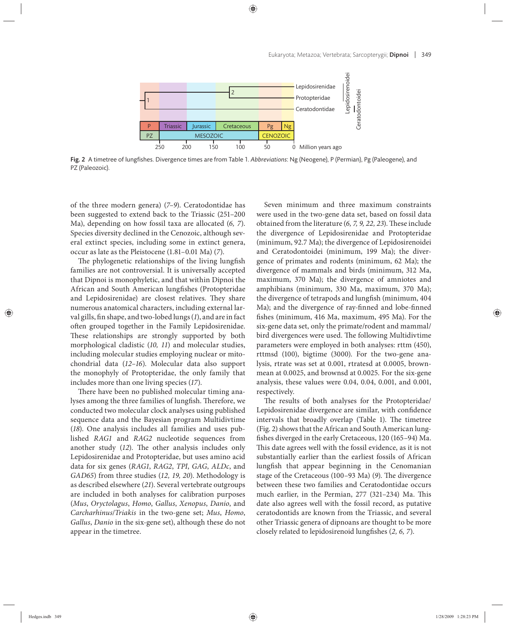

Fig. 2 A timetree of lungfishes. Divergence times are from Table 1. Abbreviations: Ng (Neogene), P (Permian), Pg (Paleogene), and PZ (Paleozoic).

of the three modern genera) (*7–9*). Ceratodontidae has been suggested to extend back to the Triassic (251–200 Ma), depending on how fossil taxa are allocated (*6, 7*). Species diversity declined in the Cenozoic, although several extinct species, including some in extinct genera, occur as late as the Pleistocene (1.81–0.01 Ma) (*7*).

The phylogenetic relationships of the living lungfish families are not controversial. It is universally accepted that Dipnoi is monophyletic, and that within Dipnoi the African and South American lungfishes (Protopteridae and Lepidosirenidae) are closest relatives. They share numerous anatomical characters, including external larval gills, fin shape, and two-lobed lungs (1), and are in fact often grouped together in the Family Lepidosirenidae. These relationships are strongly supported by both morphological cladistic (*10, 11*) and molecular studies, including molecular studies employing nuclear or mitochondrial data (*12–16*). Molecular data also support the monophyly of Protopteridae, the only family that includes more than one living species (*17*).

There have been no published molecular timing analyses among the three families of lungfish. Therefore, we conducted two molecular clock analyses using published sequence data and the Bayesian program Multidivtime (18). One analysis includes all families and uses published *RAG1* and *RAG2* nucleotide sequences from another study (12). The other analysis includes only Lepidosirenidae and Protopteridae, but uses amino acid data for six genes (*RAG1*, *RAG2*, *TPI*, *GAG*, *ALDc*, and *GAD65*) from three studies (*12, 19, 20*). Methodology is as described elsewhere (*21*). Several vertebrate outgroups are included in both analyses for calibration purposes (*Mus*, *Oryctolagus*, *Homo*, *Gallus*, *Xenopus*, *Danio*, and *Carcharhinus*/*Triakis* in the two-gene set; *Mus*, *Homo*, *Gallus*, *Danio* in the six-gene set), although these do not appear in the timetree.

Seven minimum and three maximum constraints were used in the two-gene data set, based on fossil data obtained from the literature (6, 7, 9, 22, 23). These include the divergence of Lepidosirenidae and Protopteridae (minimum, 92.7 Ma); the divergence of Lepidosirenoidei and Ceratodontoidei (minimum, 199 Ma); the divergence of primates and rodents (minimum, 62 Ma); the divergence of mammals and birds (minimum, 312 Ma, maximum, 370 Ma); the divergence of amniotes and amphibians (minimum, 330 Ma, maximum, 370 Ma); the divergence of tetrapods and lungfish (minimum, 404 Ma); and the divergence of ray-finned and lobe-finned fishes (minimum, 416 Ma, maximum, 495 Ma). For the six-gene data set, only the primate/rodent and mammal/ bird divergences were used. The following Multidivtime parameters were employed in both analyses: rttm (450), rttmsd (100), bigtime (3000). For the two-gene analysis, rtrate was set at 0.001, rtratesd at 0.0005, brownmean at 0.0025, and brownsd at 0.0025. For the six-gene analysis, these values were 0.04, 0.04, 0.001, and 0.001, respectively.

The results of both analyses for the Protopteridae/ Lepidosirenidae divergence are similar, with confidence intervals that broadly overlap (Table 1). The timetree (Fig. 2) shows that the African and South American lungfishes diverged in the early Cretaceous, 120 (165-94) Ma. This date agrees well with the fossil evidence, as it is not substantially earlier than the earliest fossils of African lungfish that appear beginning in the Cenomanian stage of the Cretaceous (100-93 Ma) (9). The divergence between these two families and Ceratodontidae occurs much earlier, in the Permian, 277 (321-234) Ma. This date also agrees well with the fossil record, as putative ceratodontids are known from the Triassic, and several other Triassic genera of dipnoans are thought to be more closely related to lepidosirenoid lungfishes (2, 6, 7).